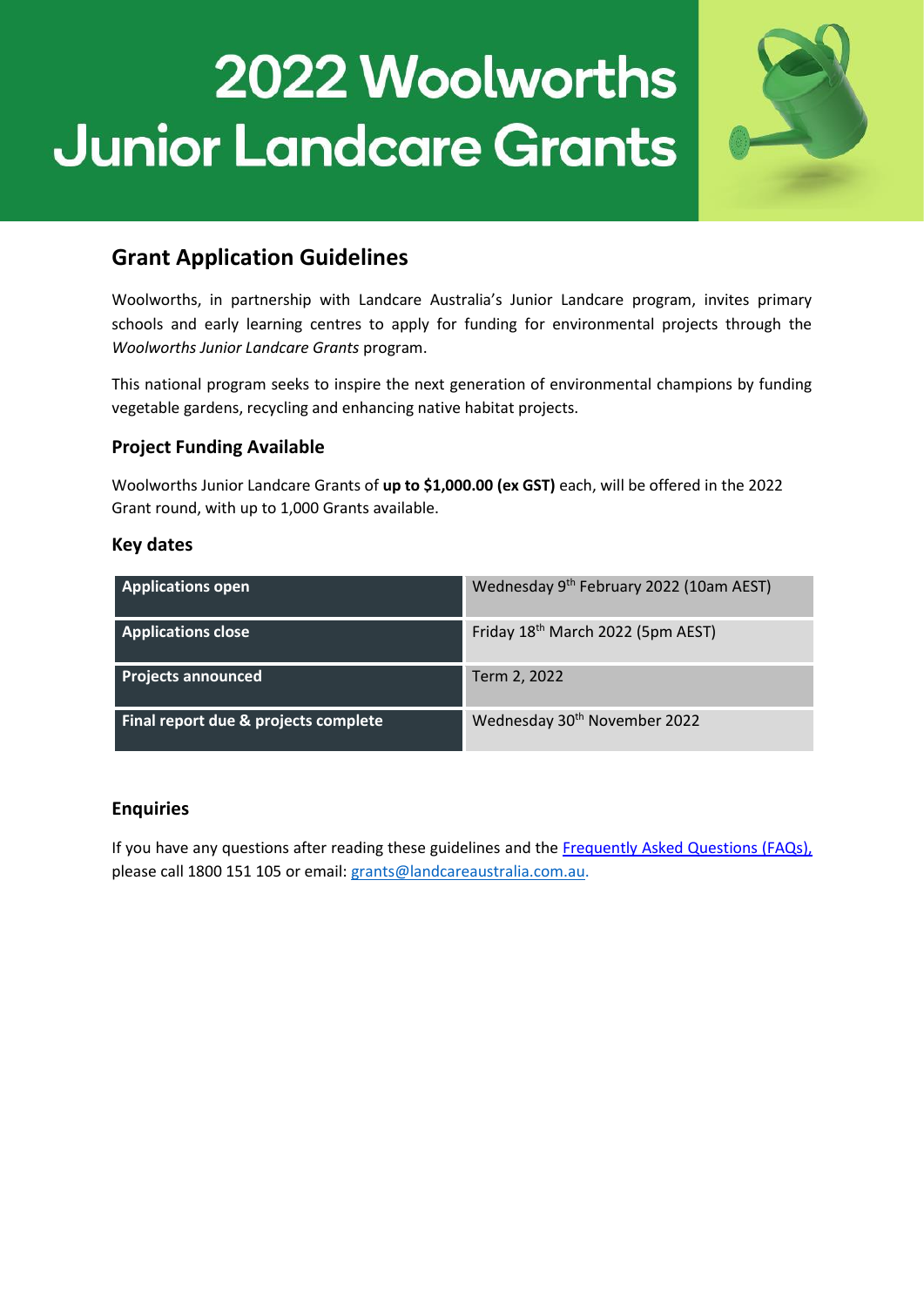

# **Grant Application Guidelines**

Woolworths, in partnership with Landcare Australia's Junior Landcare program, invites primary schools and early learning centres to apply for funding for environmental projects through the *Woolworths Junior Landcare Grants* program.

This national program seeks to inspire the next generation of environmental champions by funding vegetable gardens, recycling and enhancing native habitat projects.

# **Project Funding Available**

Woolworths Junior Landcare Grants of **up to \$1,000.00 (ex GST)** each, will be offered in the 2022 Grant round, with up to 1,000 Grants available.

### **Key dates**

| <b>Applications open</b>             | Wednesday 9 <sup>th</sup> February 2022 (10am AEST) |
|--------------------------------------|-----------------------------------------------------|
| <b>Applications close</b>            | Friday 18 <sup>th</sup> March 2022 (5pm AEST)       |
| <b>Projects announced</b>            | Term 2, 2022                                        |
| Final report due & projects complete | Wednesday 30 <sup>th</sup> November 2022            |

# **Enquiries**

If you have any questions after reading these guidelines and the [Frequently Asked Questions \(FAQs\),](https://juniorlandcare.org.au/wp-content/uploads/2022/02/Woolworths-Junior-Landcare-FAQs-2022.pdf) please call 1800 151 105 or email: [grants@landcareaustralia.com.au.](mailto:grants@landcareaustralia.com.au?subject=Re:%20Woolworths%20Junior%20Landcare%20Grant)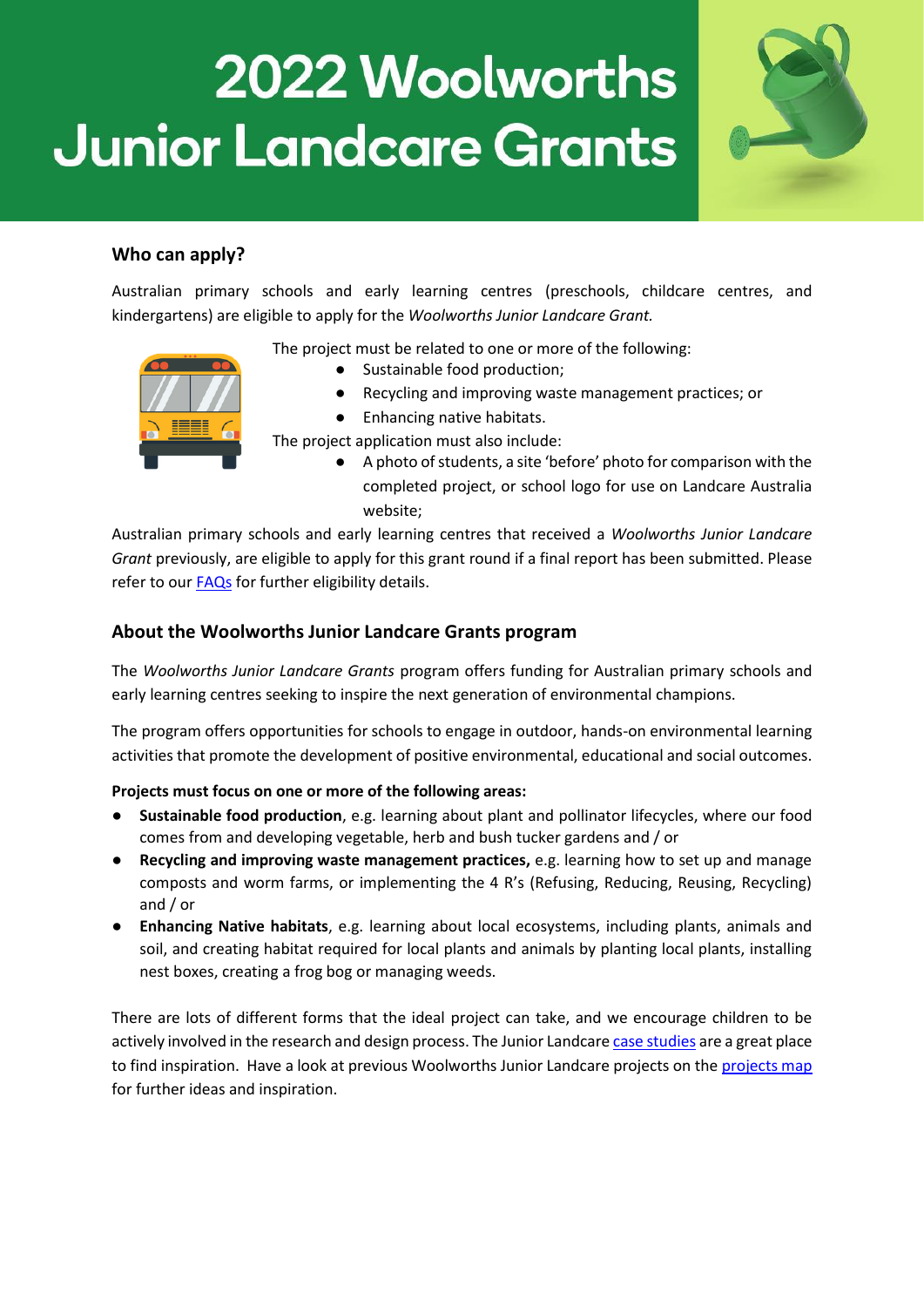

# **Who can apply?**

Australian primary schools and early learning centres (preschools, childcare centres, and kindergartens) are eligible to apply for the *Woolworths Junior Landcare Grant.*

The project must be related to one or more of the following:

- 
- Sustainable food production;
- Recycling and improving waste management practices; or
- Enhancing native habitats.

The project application must also include:

A photo of students, a site 'before' photo for comparison with the completed project, or school logo for use on Landcare Australia website;

Australian primary schools and early learning centres that received a *Woolworths Junior Landcare Grant* previously, are eligible to apply for this grant round if a final report has been submitted. Please refer to our [FAQs](https://juniorlandcare.org.au/wp-content/uploads/2022/02/Woolworths-Junior-Landcare-FAQs-2022.pdf) for further eligibility details.

### **About the Woolworths Junior Landcare Grants program**

The *Woolworths Junior Landcare Grants* program offers funding for Australian primary schools and early learning centres seeking to inspire the next generation of environmental champions.

The program offers opportunities for schools to engage in outdoor, hands-on environmental learning activities that promote the development of positive environmental, educational and social outcomes.

#### **Projects must focus on one or more of the following areas:**

- Sustainable food production, e.g. learning about plant and pollinator lifecycles, where our food comes from and developing vegetable, herb and bush tucker gardens and / or
- **Recycling and improving waste management practices,** e.g. learning how to set up and manage composts and worm farms, or implementing the 4 R's (Refusing, Reducing, Reusing, Recycling) and / or
- **Enhancing Native habitats**, e.g. learning about local ecosystems, including plants, animals and soil, and creating habitat required for local plants and animals by planting local plants, installing nest boxes, creating a frog bog or managing weeds.

There are lots of different forms that the ideal project can take, and we encourage children to be actively involved in the research and design process. The Junior Landcar[e case studies](https://juniorlandcare.org.au/about/case-studies/?wpv_post_search=woolworths) are a great place to find inspiration. Have a look at previous Woolworths Junior Landcare projects on the [projects map](https://juniorlandcare.org.au/woolworthsgrants/map/) for further ideas and inspiration.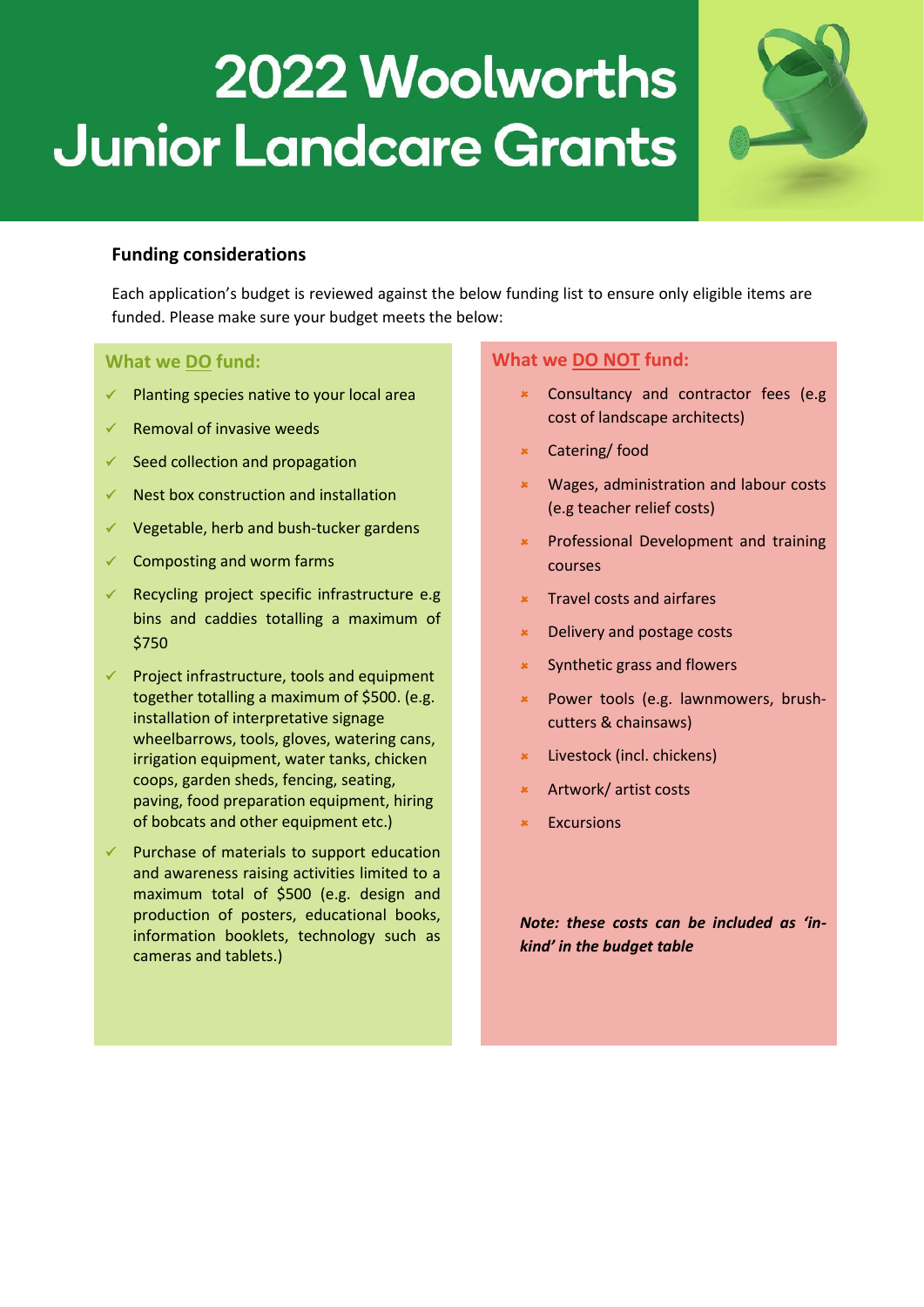## **Funding considerations**

Each application's budget is reviewed against the below funding list to ensure only eligible items are funded. Please make sure your budget meets the below:

### **What we DO fund:**

- Planting species native to your local area
- Removal of invasive weeds
- $\checkmark$  Seed collection and propagation
- $\checkmark$  Nest box construction and installation
- $\checkmark$  Vegetable, herb and bush-tucker gardens
- $\checkmark$  Composting and worm farms
- Recycling project specific infrastructure e.g bins and caddies totalling a maximum of \$750
- Project infrastructure, tools and equipment together totalling a maximum of \$500. (e.g. installation of interpretative signage wheelbarrows, tools, gloves, watering cans, irrigation equipment, water tanks, chicken coops, garden sheds, fencing, seating, paving, food preparation equipment, hiring of bobcats and other equipment etc.)
- $\checkmark$  Purchase of materials to support education and awareness raising activities limited to a maximum total of \$500 (e.g. design and production of posters, educational books, information booklets, technology such as cameras and tablets.)

### **What we DO NOT fund:**

- Consultancy and contractor fees (e.g cost of landscape architects)
- Catering/ food
- Wages, administration and labour costs (e.g teacher relief costs)
- Professional Development and training courses
- Travel costs and airfares
- Delivery and postage costs
- Synthetic grass and flowers
- Power tools (e.g. lawnmowers, brushcutters & chainsaws)
- Livestock (incl. chickens)
- Artwork/ artist costs
- Excursions

*Note: these costs can be included as 'inkind' in the budget table*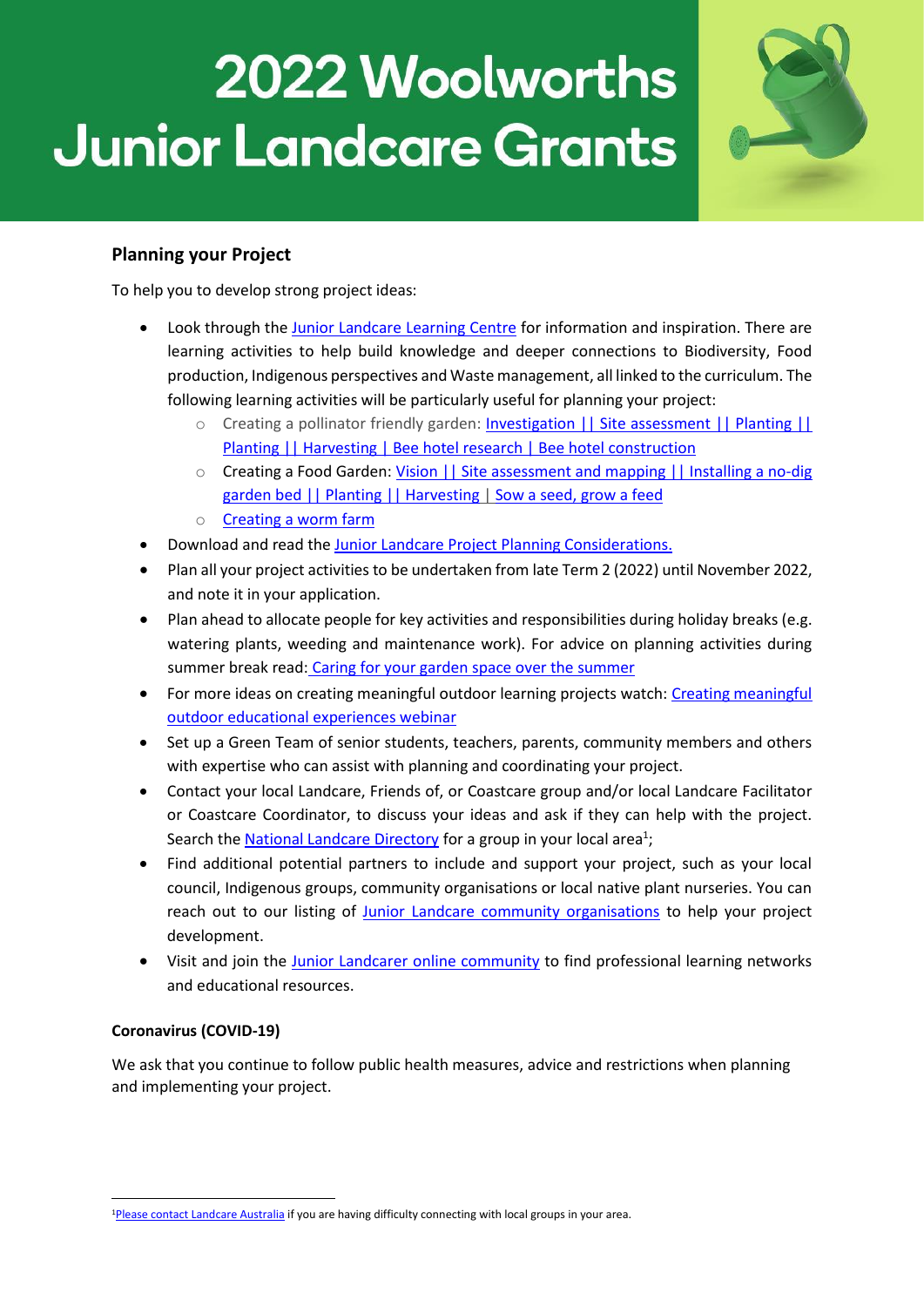

# **Planning your Project**

To help you to develop strong project ideas:

- Look through the [Junior Landcare Learning Centre](https://juniorlandcare.org.au/learningcentre/) for information and inspiration. There are learning activities to help build knowledge and deeper connections to Biodiversity, Food production, Indigenous perspectives and Waste management, all linked to the curriculum. The following learning activities will be particularly useful for planning your project:
	- o Creating a pollinator friendly garden: **Investigation || [Site assessment](https://juniorlandcare.org.au/learning_activity/creating-a-beneficial-garden-assessment/?age=) || [Planting](https://juniorlandcare.org.au/learning_activity/creating-a-beneficial-garden-planting/?age=) ||** [Planting](https://juniorlandcare.org.au/learning_activity/creating-a-food-garden-planting/?age=) || [Harvesting](https://juniorlandcare.org.au/learning_activity/creating-a-food-garden-harvesting/?age=) | [Bee hotel research](https://juniorlandcare.org.au/learning_activity/creating-a-bee-hotel-research/?age=) | [Bee hotel construction](https://juniorlandcare.org.au/learning_activity/creating-a-bee-hotel-construction/?age=)
	- o Creating a Food Garden: [Vision](https://juniorlandcare.org.au/learning_activity/creating-a-food-garden-vision/?age=) || [Site assessment and mapping](https://juniorlandcare.org.au/learning_activity/creating-your-food-garden-site-assessment-and-mapping/?age=) || [Installing a no-dig](https://juniorlandcare.org.au/learning_activity/creating-a-food-garden-installing-a-no-dig-garden-bed/?age=)  [garden bed](https://juniorlandcare.org.au/learning_activity/creating-a-food-garden-installing-a-no-dig-garden-bed/?age=) |[| Planting](https://juniorlandcare.org.au/learning_activity/creating-a-food-garden-planting/?age=) || [Harvesting](https://juniorlandcare.org.au/learning_activity/creating-a-food-garden-harvesting/?age=) | [Sow a seed, grow a feed](https://juniorlandcare.org.au/learning_activity/sow-a-seed-grow-a-feed/?age=)
	- o [Creating a worm farm](https://juniorlandcare.org.au/learning_activity/creating-a-worm-farm/?age=)
- Download and read th[e Junior Landcare Project Planning Considerations.](https://juniorlandcare.org.au/wp-content/uploads/2020/09/Landcare_PlanningYourProject_03.pdf)
- Plan all your project activities to be undertaken from late Term 2 (2022) until November 2022, and note it in your application.
- Plan ahead to allocate people for key activities and responsibilities during holiday breaks (e.g. watering plants, weeding and maintenance work). For advice on planning activities during summer break read: [Caring for your garden space over the summer](https://juniorlandcare.org.au/newsletter/caring-for-your-garden-space-over-the-summer-holidays/)
- For more ideas on creating meaningful outdoor learning projects watch[: Creating meaningful](https://juniorlandcare.org.au/news/creating-meaningful-outdoor-educational-experiences-webinar/)  [outdoor educational experiences webinar](https://juniorlandcare.org.au/news/creating-meaningful-outdoor-educational-experiences-webinar/)
- Set up a Green Team of senior students, teachers, parents, community members and others with expertise who can assist with planning and coordinating your project.
- Contact your local Landcare, Friends of, or Coastcare group and/or local Landcare Facilitator or Coastcare Coordinator, to discuss your ideas and ask if they can help with the project. Search the **National Landcare Directory** for a group in your local area<sup>1</sup>;
- Find additional potential partners to include and support your project, such as your local council, Indigenous groups, community organisations or local native plant nurseries. You can reach out to our listing of [Junior Landcare community organisations](https://juniorlandcare.org.au/junior-landcare-community/) to help your project development.
- Visit and join the Junior Landcarer [online community](https://juniorlandcare.org.au/news/something-exciting-is-happening-and-you-can-be-part-of-it/) to find professional learning networks and educational resources.

#### **Coronavirus (COVID-19)**

We ask that you continue to follow public health measures, advice and restrictions when planning and implementing your project.

 $\overline{\phantom{a}}$ <sup>1</sup>[Please contact Landcare Australia](mailto:enquiries@landcareaustralia.com.au?subject=Re:%20Contacting%20my%20local%20Landcare%20Group)</u> if you are having difficulty connecting with local groups in your area.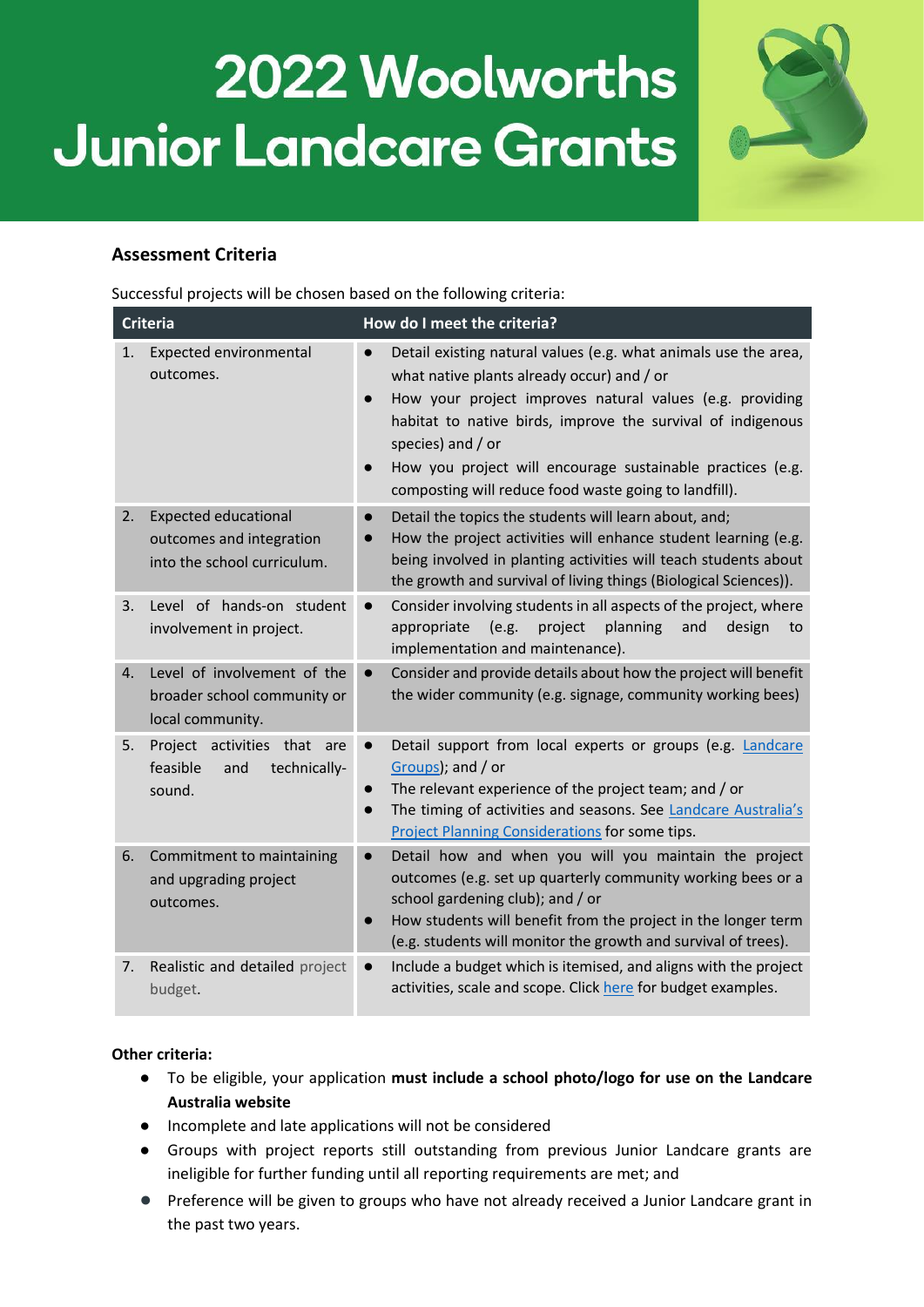

# **Assessment Criteria**

Successful projects will be chosen based on the following criteria:

| <b>Criteria</b> |                                                                                        | How do I meet the criteria?                                                                                                                                                                                                                                                                                                                                                                                                 |
|-----------------|----------------------------------------------------------------------------------------|-----------------------------------------------------------------------------------------------------------------------------------------------------------------------------------------------------------------------------------------------------------------------------------------------------------------------------------------------------------------------------------------------------------------------------|
| 1.              | Expected environmental<br>outcomes.                                                    | Detail existing natural values (e.g. what animals use the area,<br>$\bullet$<br>what native plants already occur) and / or<br>How your project improves natural values (e.g. providing<br>$\bullet$<br>habitat to native birds, improve the survival of indigenous<br>species) and / or<br>How you project will encourage sustainable practices (e.g.<br>$\bullet$<br>composting will reduce food waste going to landfill). |
| 2.              | <b>Expected educational</b><br>outcomes and integration<br>into the school curriculum. | Detail the topics the students will learn about, and;<br>How the project activities will enhance student learning (e.g.<br>being involved in planting activities will teach students about<br>the growth and survival of living things (Biological Sciences)).                                                                                                                                                              |
| 3.              | Level of hands-on student<br>involvement in project.                                   | Consider involving students in all aspects of the project, where<br>$\bullet$<br>appropriate<br>(e.g.<br>planning<br>project<br>and<br>design<br>to<br>implementation and maintenance).                                                                                                                                                                                                                                     |
| 4.              | Level of involvement of the<br>broader school community or<br>local community.         | Consider and provide details about how the project will benefit<br>$\bullet$<br>the wider community (e.g. signage, community working bees)                                                                                                                                                                                                                                                                                  |
| 5.              | Project activities that are<br>feasible<br>technically-<br>and<br>sound.               | Detail support from local experts or groups (e.g. Landcare<br>Groups); and / or<br>The relevant experience of the project team; and / or<br>$\bullet$<br>The timing of activities and seasons. See Landcare Australia's<br>$\bullet$<br><b>Project Planning Considerations for some tips.</b>                                                                                                                               |
| 6.              | Commitment to maintaining<br>and upgrading project<br>outcomes.                        | Detail how and when you will you maintain the project<br>$\bullet$<br>outcomes (e.g. set up quarterly community working bees or a<br>school gardening club); and / or<br>How students will benefit from the project in the longer term<br>$\bullet$<br>(e.g. students will monitor the growth and survival of trees).                                                                                                       |
| 7.              | Realistic and detailed project<br>budget.                                              | Include a budget which is itemised, and aligns with the project<br>$\bullet$<br>activities, scale and scope. Click here for budget examples.                                                                                                                                                                                                                                                                                |

### **Other criteria:**

- To be eligible, your application **must include a school photo/logo for use on the Landcare Australia website**
- Incomplete and late applications will not be considered
- Groups with project reports still outstanding from previous Junior Landcare grants are ineligible for further funding until all reporting requirements are met; and
- Preference will be given to groups who have not already received a Junior Landcare grant in the past two years.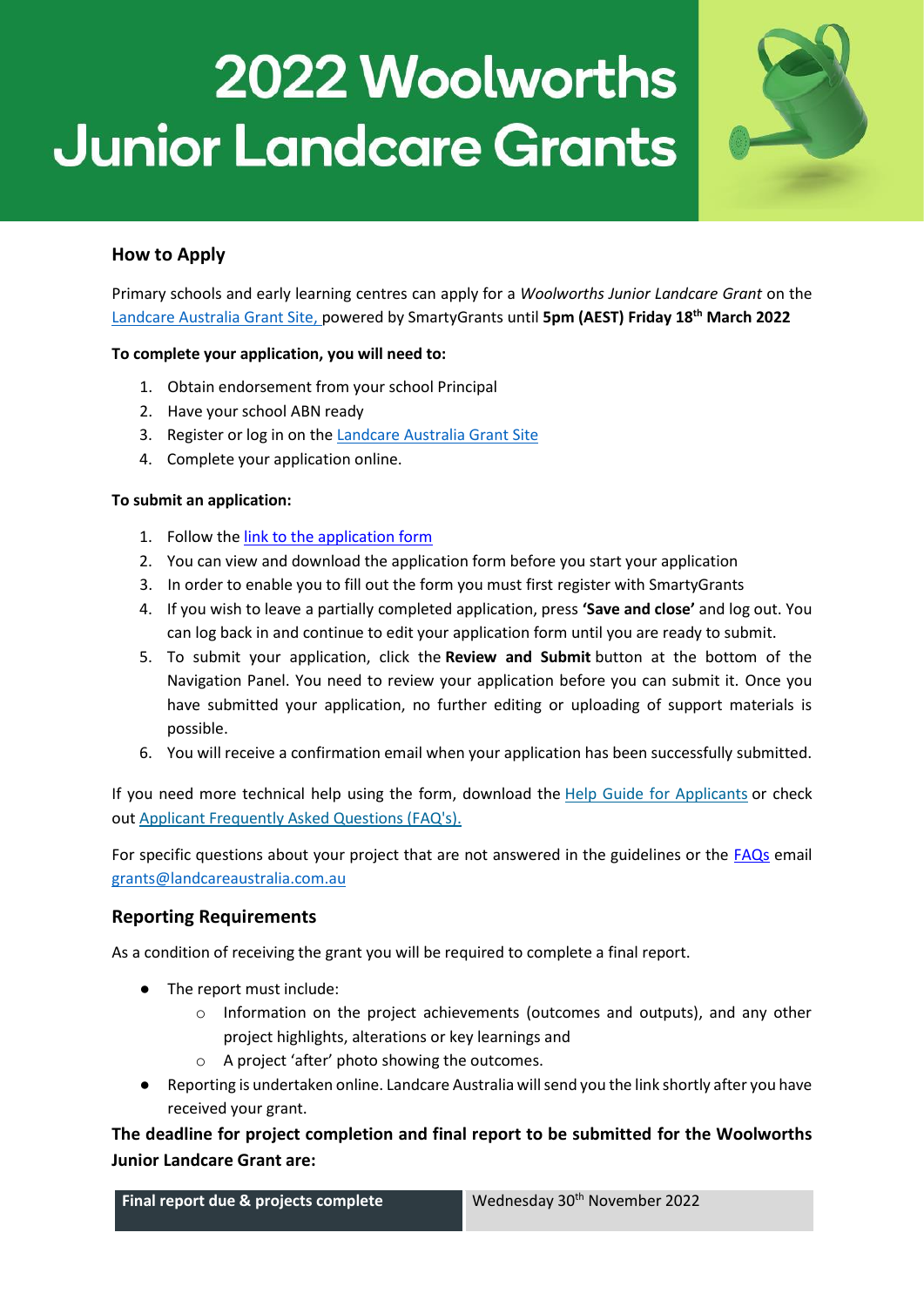

# **How to Apply**

Primary schools and early learning centres can apply for a *Woolworths Junior Landcare Grant* on the [Landcare Australia Grant Site,](https://landcareaustralia.smartygrants.com.au/WWJLC22) powered by SmartyGrants until **5pm (AEST) Friday 18th March 2022**

#### **To complete your application, you will need to:**

- 1. Obtain endorsement from your school Principal
- 2. Have your school ABN ready
- 3. Register or log in on the [Landcare Australia Grant Site](https://landcareaustralia.smartygrants.com.au/)
- 4. Complete your application online.

#### **To submit an application:**

- 1. Follow the [link to the application form](https://landcareaustralia.smartygrants.com.au/WWJLC22)
- 2. You can view and download the application form before you start your application
- 3. In order to enable you to fill out the form you must first register with SmartyGrants
- 4. If you wish to leave a partially completed application, press **'Save and close'** and log out. You can log back in and continue to edit your application form until you are ready to submit.
- 5. To submit your application, click the **Review and Submit** button at the bottom of the Navigation Panel. You need to review your application before you can submit it. Once you have submitted your application, no further editing or uploading of support materials is possible.
- 6. You will receive a confirmation email when your application has been successfully submitted.

If you need more technical help using the form, download the [Help Guide for Applicants](http://applicanthelp.smartygrants.com.au/help-guide-for-applicants/) or check out [Applicant Frequently Asked Questions \(FAQ's\).](http://applicanthelp.smartygrants.com.au/applicant-faq%27s/)

For specific questions about your project that are not answered in the guidelines or the [FAQs](https://juniorlandcare.org.au/wp-content/uploads/2022/02/Woolworths-Junior-Landcare-FAQs-2022.pdf) email [grants@landcareaustralia.com.au](mailto:grants@landcareaustralia.com.au?subject=Re:%20Woolworths%20Junior%20Landcare%20Grants%202021%20)

### **Reporting Requirements**

As a condition of receiving the grant you will be required to complete a final report.

- The report must include:
	- o Information on the project achievements (outcomes and outputs), and any other project highlights, alterations or key learnings and
	- o A project 'after' photo showing the outcomes.
- Reporting is undertaken online. Landcare Australia will send you the link shortly after you have received your grant.

**The deadline for project completion and final report to be submitted for the Woolworths Junior Landcare Grant are:**

**Final report due & projects complete** Wednesday 30<sup>th</sup> November 2022